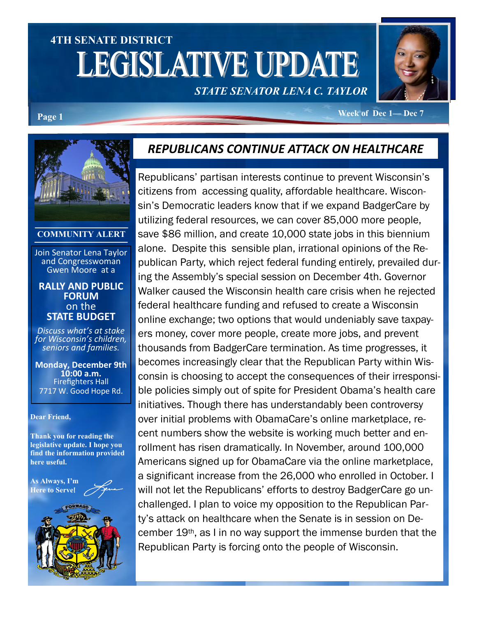# **4TH SENATE DISTRICT LEGISLATIVE UPDATE** *STATE SENATOR LENA C. TAYLOR*



**Page 1 Week of Dec 1— Dec** 7

#### **COMMUNITY ALERT**

Join Senator Lena Taylor and Congresswoman Gwen Moore at a

#### **RALLY AND PUBLIC FORUM** on the **STATE BUDGET**

*Discuss what's at stake for Wisconsin's children, seniors and families.* 

**Monday, December 9th 10:00 a.m.**  Firefighters Hall 7717 W. Good Hope Rd.

#### **Dear Friend,**

**Thank you for reading the legislative update. I hope you find the information provided here useful.**

**As Always, I'm Here to Serve**!

### *REPUBLICANS CONTINUE ATTACK ON HEALTHCARE*

Republicans' partisan interests continue to prevent Wisconsin's citizens from accessing quality, affordable healthcare. Wisconsin's Democratic leaders know that if we expand BadgerCare by utilizing federal resources, we can cover 85,000 more people, save \$86 million, and create 10,000 state jobs in this biennium alone. Despite this sensible plan, irrational opinions of the Republican Party, which reject federal funding entirely, prevailed during the Assembly's special session on December 4th. Governor Walker caused the Wisconsin health care crisis when he rejected federal healthcare funding and refused to create a Wisconsin online exchange; two options that would undeniably save taxpayers money, cover more people, create more jobs, and prevent thousands from BadgerCare termination. As time progresses, it becomes increasingly clear that the Republican Party within Wisconsin is choosing to accept the consequences of their irresponsible policies simply out of spite for President Obama's health care initiatives. Though there has understandably been controversy over initial problems with ObamaCare's online marketplace, recent numbers show the website is working much better and enrollment has risen dramatically. In November, around 100,000 Americans signed up for ObamaCare via the online marketplace, a significant increase from the 26,000 who enrolled in October. I will not let the Republicans' efforts to destroy BadgerCare go unchallenged. I plan to voice my opposition to the Republican Party's attack on healthcare when the Senate is in session on December 19th, as I in no way support the immense burden that the Republican Party is forcing onto the people of Wisconsin.